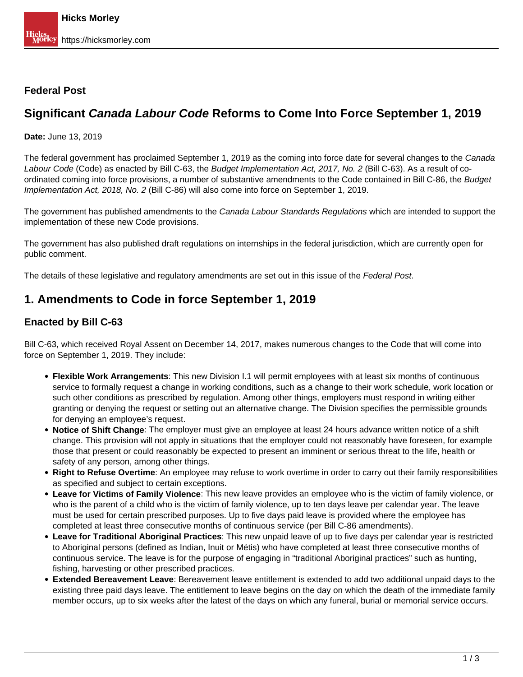### **Federal Post**

# **Significant Canada Labour Code Reforms to Come Into Force September 1, 2019**

**Date:** June 13, 2019

The federal government has proclaimed September 1, 2019 as the coming into force date for several changes to the Canada Labour Code (Code) as enacted by Bill C-63, the Budget Implementation Act, 2017, No. 2 (Bill C-63). As a result of coordinated coming into force provisions, a number of substantive amendments to the Code contained in Bill C-86, the Budget Implementation Act, 2018, No. 2 (Bill C-86) will also come into force on September 1, 2019.

The government has published amendments to the Canada Labour Standards Regulations which are intended to support the implementation of these new Code provisions.

The government has also published draft regulations on internships in the federal jurisdiction, which are currently open for public comment.

The details of these legislative and regulatory amendments are set out in this issue of the Federal Post.

## **1. Amendments to Code in force September 1, 2019**

### **Enacted by Bill C-63**

Bill C-63, which received Royal Assent on December 14, 2017, makes numerous changes to the Code that will come into force on September 1, 2019. They include:

- **Flexible Work Arrangements**: This new Division I.1 will permit employees with at least six months of continuous service to formally request a change in working conditions, such as a change to their work schedule, work location or such other conditions as prescribed by regulation. Among other things, employers must respond in writing either granting or denying the request or setting out an alternative change. The Division specifies the permissible grounds for denying an employee's request.
- **Notice of Shift Change**: The employer must give an employee at least 24 hours advance written notice of a shift change. This provision will not apply in situations that the employer could not reasonably have foreseen, for example those that present or could reasonably be expected to present an imminent or serious threat to the life, health or safety of any person, among other things.
- **Right to Refuse Overtime**: An employee may refuse to work overtime in order to carry out their family responsibilities as specified and subject to certain exceptions.
- **Leave for Victims of Family Violence**: This new leave provides an employee who is the victim of family violence, or who is the parent of a child who is the victim of family violence, up to ten days leave per calendar year. The leave must be used for certain prescribed purposes. Up to five days paid leave is provided where the employee has completed at least three consecutive months of continuous service (per Bill C-86 amendments).
- **Leave for Traditional Aboriginal Practices**: This new unpaid leave of up to five days per calendar year is restricted to Aboriginal persons (defined as Indian, Inuit or Métis) who have completed at least three consecutive months of continuous service. The leave is for the purpose of engaging in "traditional Aboriginal practices" such as hunting, fishing, harvesting or other prescribed practices.
- **Extended Bereavement Leave**: Bereavement leave entitlement is extended to add two additional unpaid days to the existing three paid days leave. The entitlement to leave begins on the day on which the death of the immediate family member occurs, up to six weeks after the latest of the days on which any funeral, burial or memorial service occurs.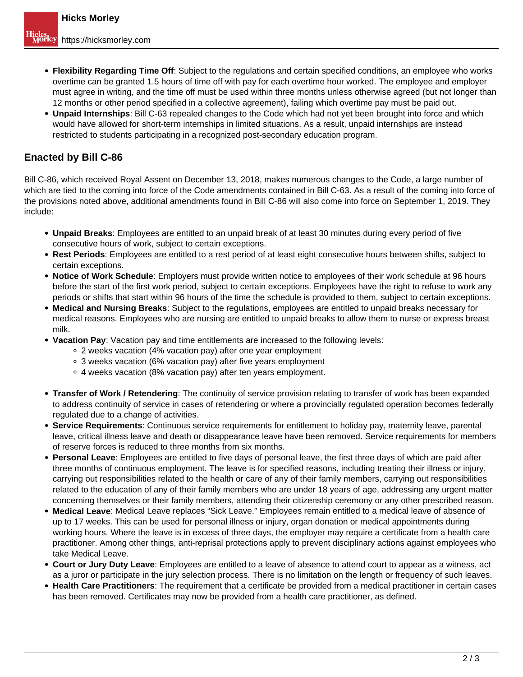- **Flexibility Regarding Time Off**: Subject to the regulations and certain specified conditions, an employee who works overtime can be granted 1.5 hours of time off with pay for each overtime hour worked. The employee and employer must agree in writing, and the time off must be used within three months unless otherwise agreed (but not longer than 12 months or other period specified in a collective agreement), failing which overtime pay must be paid out.
- **Unpaid Internships**: Bill C-63 repealed changes to the Code which had not yet been brought into force and which would have allowed for short-term internships in limited situations. As a result, unpaid internships are instead restricted to students participating in a recognized post-secondary education program.

### **Enacted by Bill C-86**

Bill C-86, which received Royal Assent on December 13, 2018, makes numerous changes to the Code, a large number of which are tied to the coming into force of the Code amendments contained in Bill C-63. As a result of the coming into force of the provisions noted above, additional amendments found in Bill C-86 will also come into force on September 1, 2019. They include:

- **Unpaid Breaks**: Employees are entitled to an unpaid break of at least 30 minutes during every period of five consecutive hours of work, subject to certain exceptions.
- **Rest Periods**: Employees are entitled to a rest period of at least eight consecutive hours between shifts, subject to certain exceptions.
- **Notice of Work Schedule**: Employers must provide written notice to employees of their work schedule at 96 hours before the start of the first work period, subject to certain exceptions. Employees have the right to refuse to work any periods or shifts that start within 96 hours of the time the schedule is provided to them, subject to certain exceptions.
- **Medical and Nursing Breaks**: Subject to the regulations, employees are entitled to unpaid breaks necessary for medical reasons. Employees who are nursing are entitled to unpaid breaks to allow them to nurse or express breast milk.
- **Vacation Pay**: Vacation pay and time entitlements are increased to the following levels:
	- 2 weeks vacation (4% vacation pay) after one year employment
	- 3 weeks vacation (6% vacation pay) after five years employment
	- 4 weeks vacation (8% vacation pay) after ten years employment.
- **Transfer of Work / Retendering**: The continuity of service provision relating to transfer of work has been expanded to address continuity of service in cases of retendering or where a provincially regulated operation becomes federally regulated due to a change of activities.
- **Service Requirements**: Continuous service requirements for entitlement to holiday pay, maternity leave, parental leave, critical illness leave and death or disappearance leave have been removed. Service requirements for members of reserve forces is reduced to three months from six months.
- **Personal Leave**: Employees are entitled to five days of personal leave, the first three days of which are paid after three months of continuous employment. The leave is for specified reasons, including treating their illness or injury, carrying out responsibilities related to the health or care of any of their family members, carrying out responsibilities related to the education of any of their family members who are under 18 years of age, addressing any urgent matter concerning themselves or their family members, attending their citizenship ceremony or any other prescribed reason.
- **Medical Leave**: Medical Leave replaces "Sick Leave." Employees remain entitled to a medical leave of absence of up to 17 weeks. This can be used for personal illness or injury, organ donation or medical appointments during working hours. Where the leave is in excess of three days, the employer may require a certificate from a health care practitioner. Among other things, anti-reprisal protections apply to prevent disciplinary actions against employees who take Medical Leave.
- **Court or Jury Duty Leave**: Employees are entitled to a leave of absence to attend court to appear as a witness, act as a juror or participate in the jury selection process. There is no limitation on the length or frequency of such leaves.
- **Health Care Practitioners**: The requirement that a certificate be provided from a medical practitioner in certain cases has been removed. Certificates may now be provided from a health care practitioner, as defined.